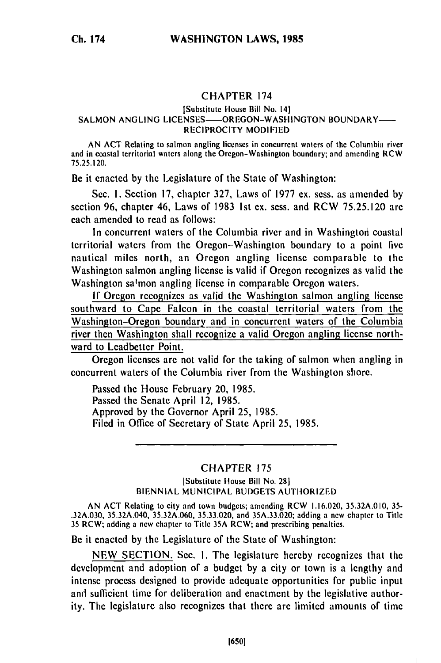# CHAPTER 174

### [Substitute House Bill No. 14] SALMON ANGLING LICENSES-OREGON-WASHINGTON BOUNDARY-RECIPROCITY MODIFIED

AN **ACT** Relating to salmon angling licenses in concurrent waters of the Columbia river and in coastal territorial waters along the Oregon-Washington boundary; and amending RCW 75.25.120.

Be it enacted by the Legislature of the State of Washington:

Sec. 1. Section 17, chapter 327, Laws of 1977 ex. sess. as amended by section 96, chapter 46, Laws of 1983 Ist ex. sess. and RCW 75.25.120 are each amended to read as follows:

In concurrent waters of the Columbia river and in Washington coastal territorial waters from the Oregon-Washington boundary to a point five nautical miles north, an Oregon angling license comparable to the Washington salmon angling license is valid if Oregon recognizes as valid the Washington salmon angling license in comparable Oregon waters.

If Oregon recognizes as valid the Washington salmon angling license southward to Cape Falcon in the coastal territorial waters from the Washington-Oregon boundary and in concurrent waters of the Columbia river then Washington shall recognize a valid Oregon angling license northward to Leadbetter Point.

Oregon licenses are not valid for the taking of salmon when angling in concurrent waters of the Columbia river from the Washington shore.

Passed the House February 20, 1985. Passed the Senate April 12, 1985. Approved by the Governor April 25, 1985. Filed in Office of Secretary of State April 25, 1985.

# CHAPTER 175

### ISubstitute House Bill No. 281 BIENNIAL MUNICIPAL BUDGETS AUTHORIZED

AN ACT Relating to city and town budgets; amending RCW 1.16.020, 35.32A.010, 35- .32A.030, 35.32A.040, 35.32A.060, 35.33.020, and 35A.33.020; adding a new chapter to Title 35 RCW; adding a new chapter to Title 35A RCW; and prescribing penalties.

Be it enacted by the Legislature of the State of Washington:

NEW SECTION. Sec. I. The legislature hereby recognizes that the development and adoption of a budget by a city or town is a lengthy and intense process designed to provide adequate opportunities for public input and sufficient time for deliberation and enactment by the legislative authority. The legislature also recognizes that there are limited amounts of time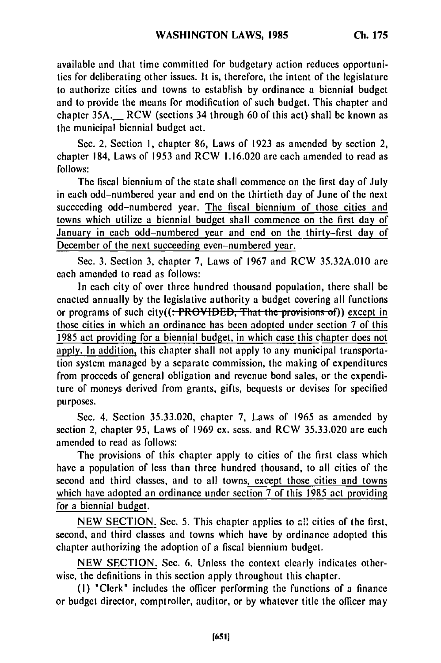available and that time committed for budgetary action reduces opportunities for deliberating other issues. It is, therefore, the intent of the legislature to authorize cities and towns to establish by ordinance a biennial budget and to provide the means for modification of such budget. This chapter and chapter 35A.\_ RCW (sections 34 through 60 of this act) shall be known as the municipal biennial budget act.

Sec. 2. Section **1,** chapter 86, Laws of 1923 as amended by section 2, chapter 184, Laws of 1953 and RCW 1.16.020 are each amended to read as follows:

The fiscal biennium of the state shall commence on the first day of July in each odd-numbered year and end on the thirtieth day of June of the next succeeding odd-numbered year. The fiscal biennium of those cities and towns which utilize a biennial budget shall commence on the first day or January in each odd-numbered year and end on the thirty-first day of December of the next succeeding even-numbered year.

Sec. 3. Section 3, chapter 7, Laws of 1967 and RCW 35.32A.010 are each amended to read as follows:

In each city of over three hundred thousand population, there shall be enacted annually by the legislative authority a budget covering all functions or programs of such city((: PROVIDED, That the provisions of)) except in those cities in which an ordinance has been adopted under section 7 of this 1985 act providing for a biennial budget, in which case this chapter does not apply. In addition, this chapter shall not apply to any municipal transportation system managed by a separate commission, the making of expenditures from proceeds of general obligation and revenue bond sales, or the expenditure of moneys derived from grants, gifts, bequests or devises for specified purposes.

Sec. 4. Section 35.33.020, chapter 7, Laws of 1965 as amended by section 2, chapter 95, Laws of 1969 ex. sess. and RCW 35.33.020 are each amended to read as follows:

The provisions of this chapter apply to cities of the first class which have a population of less than three hundred thousand, to all cities of the second and third classes, and to all towns, except those cities and towns which have adopted an ordinance under section 7 of this 1985 act providing for a biennial budget.

NEW SECTION. Sec. 5. This chapter applies to all cities of the first, second, and third classes and towns which have by ordinance adopted this chapter authorizing the adoption of a fiscal biennium budget.

NEW SECTION. Sec. 6. Unless the context clearly indicates otherwise, the definitions in this section apply throughout this chapter.

**(I)** "Clerk" includes the officer performing the functions of a finance or budget director, comptroller, auditor, or by whatever title the officer may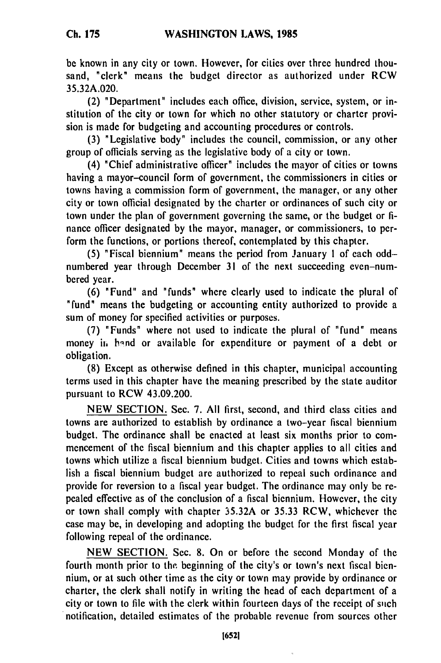**Ch. 175**

be known in any city or town. However, for cities over three hundred thousand, "clerk" means the budget director as authorized under RCW **35.32A.020.**

(2) "Department" includes each office, division, service, system, or institution of the city or town for which no other statutory or charter provision is made for budgeting and accounting procedures or controls.

**(3)** "Legislative body" includes the council, commission, or any other group of officials serving as the legislative body of a city or town.

(4) "Chief administrative officer" includes the mayor of cities or towns having a mayor-council form of government, the commissioners in cities or towns having a commission form of government, the manager, or any other city or town official designated **by** the charter or ordinances of such city or town under the plan of government governing the same, or the budget or **fi**nance officer designated **by** the mayor, manager, or commissioners, to perform the functions, or portions thereof, contemplated **by** this chapter.

**(5)** "Fiscal biennium" means the period from January **1** of each oddnumbered year through December **31** of the next succeeding even-numbered year.

**(6)** "Fund" and "funds" where clearly used to indicate the plural of "fund" means the budgeting or accounting entity authorized to provide a sum of money for specified activities or purposes.

**(7)** "Funds" where not used to indicate the plural of "fund" means money in hand or available for expenditure or payment of a debt or obligation.

**(8)** Except as otherwise defined in this chapter, municipal accounting terms used in this chapter have the meaning prescribed **by** the state auditor pursuant to RCW 43.09.200.

**NEW SECTION.** Sec. **7. All** first, second, and third class cities and towns are authorized to establish **by** ordinance a two-year fiscal biennium budget. The ordinance shall be enacted at least six months prior to commencement of the fiscal biennium and this chapter applies to all cities and towns which utilize a fiscal biennium budget. Cities and towns which establish a fiscal biennium budget are authorized to repeal such ordinance and provide for reversion to a fiscal year budget. The ordinance may only be repealed effective as of the conclusion of a fiscal biennium. However, the city or town shall comply with chapter **35.32A** or **35.33** RCW, whichever the case may be, in developing and adopting the budget for the first fiscal year following repeal of the ordinance.

**NEW SECTION.** Sec. **8.** On or before the second Monday of the fourth month prior to the beginning of the city's or town's next fiscal biennium, or at such other time as the city or town may provide **by** ordinance or charter, the clerk shall notify in writing the head of each department of a city or town to **file** with the clerk within fourteen days of the receipt of such notification, detailed estimates of the probable revenue from sources other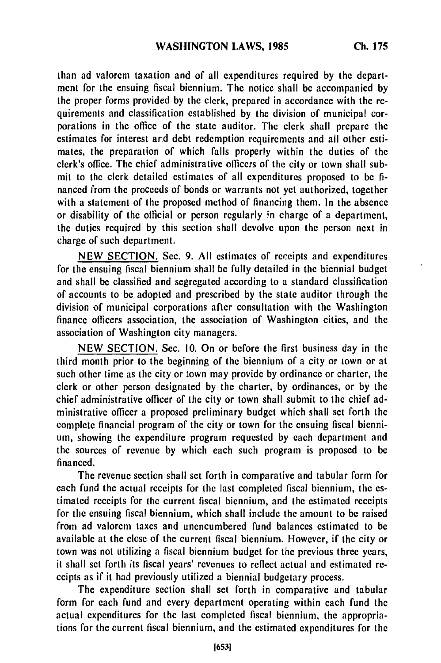than ad valorem taxation and of all expenditures required **by** the department for the ensuing fiscal biennium. The notice shall be accompanied **by** the proper forms provided **by** the clerk, prepared in accordance with the requirements and classification established **by** the division of municipal corporations in the office of the state auditor. The clerk shall prepare the estimates for interest ard debt redemption requirements and all other estimates, the preparation of which falls properly within the duties of the clerk's office. The chief administrative officers of the city or town shall submit to the clerk detailed estimates of all expenditures proposed to be **fi**nanced from the proceeds of bonds or warrants not yet authorized, together with a statement of the proposed method of financing them. In the absence or disability of the official or person regularly ;n charge of a department, the duties required **by** this section shall devolve upon the person next in charge of such department.

**NEW SECTION.** Sec. **9. All** estimates of receipts and expenditures for the ensuing fiscal biennium shall be fully detailed in the biennial budget and shall be classified and segregated according to a standard classification of accounts to **be** adopted and prescribed **by** the state auditor through the division of municipal corporations after consultation with the Washington finance officers association, the association of Washington cities, and the association of Washington city managers.

**NEW SECTION.** Sec. **10.** On or before the first business day in the third month prior to the beginning of the biennium of a city or town or at such other time as the city or town may provide by ordinance or charter, the clerk or other person designated **by** the charter, **by** ordinances, or **by** the chief administrative officer of the city or town shall submit to the chief administrative officer a proposed preliminary budget which shall set forth the complete financial program of the city or town for the ensuing fiscal biennium, showing the expenditure program requested **by** each department and the sources of revenue **by** which each such program is proposed to **be** financed.

The revenue section shall set forth in comparative and tabular form for each fund the actual receipts for the last completed fiscal biennium, the **es**timated receipts for the current fiscal biennium, and the estimated receipts for the ensuing fiscal biennium, which shall include the amount to be raised from ad valorem taxes and unencumbered fund balances estimated to be available at the close of the current fiscal biennium. However, if the city or town was not utilizing a fiscal biennium budget for the previous three years, it shall set forth its fiscal years' revenues to reflect actual and estimated receipts as if it had previously utilized a biennial budgetary process.

The expenditure section shall set forth in comparative and tabular form for each fund and every department operating within each fund the actual expenditures for the last completed fiscal biennium, the appropriations for the current fiscal biennium, and the estimated expenditures for the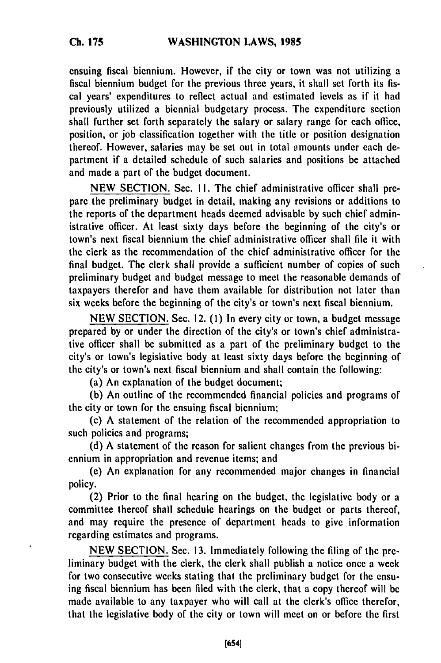ensuing fiscal biennium. However, if the city or town was not utilizing a fiscal biennium budget for the previous three years, it shall set forth its fiscal years' expenditures to reflect actual and estimated levels as if it had previously utilized a biennial budgetary process. The expenditure section shall further set forth separately the salary or salary range for each office, position, or job classification together with the title or position designation thereof. However, salaries may be set out in total amounts under each department if a detailed schedule of such salaries and positions be attached and made a part of the budget document.

NEW SECTION. Sec. I!. The chief administrative officer shall prepare the preliminary budget in detail, making any revisions or additions to the reports of the department heads deemed advisable by such chief administrative officer. At least sixty days before the beginning of the city's or town's next fiscal biennium the chief administrative officer shall file it with the clerk as the recommendation of the chief administrative officer for the final budget. The clerk shall provide a sufficient number of copies of such preliminary budget and budget message to meet the reasonable demands of taxpayers therefor and have them available for distribution not later than six weeks before the beginning of the city's or town's next fiscal biennium.

NEW SECTION. Sec. 12. (1) In every city or town, a budget message prepared by or under the direction of the city's or town's chief administrative officer shall be submitted as a part of the preliminary budget to the city's or town's legislative body at least sixty days before the beginning of the city's or town's next fiscal biennium and shall contain the following:

(a) An explanation of the budget document;

(b) An outline of the recommended financial policies and programs of the city or town for the ensuing fiscal biennium;

(c) A statement of the relation of the recommended appropriation to such policies and programs;

(d) A statement of the reason for salient changes from the previous biennium in appropriation and revenue items; and

(e) An explanation for any recommended major changes in financial policy.

(2) Prior to the final hearing on the budget, the legislative body or a committee thereof shall schedule hearings on the budget or parts thereof, and may require the presence of department heads to give information regarding estimates and programs.

NEW SECTION. Sec. 13. Immediately following the filing of the preliminary budget with the clerk, the clerk shall publish a notice once a week for two consecutive weeks stating that the preliminary budget for the ensuing fiscal biennium has been filed with the clerk, that a copy thereof will be made available to any taxpayer who will call at the clerk's office therefor, that the legislative body of the city or town will meet on or before the first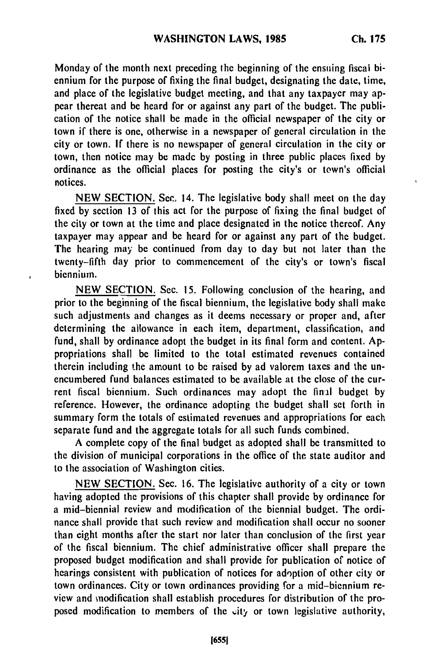Monday of the month next preceding the beginning of the ensuing fiscal biennium for the purpose of fixing the final budget, designating the date, time, and place of the legislative budget meeting, and that any taxpayer may appear thereat and be heard for or against any part of the budget. The publication of the notice shall be made in the official newspaper of the city or town **if** there is one, otherwise in a newspaper of general circulation in the city or town. **If** there is no newspaper of general circulation in the city or town, then notice may be made **by** posting in three public places fixed **by** ordinance as the official places for posting the city's or town's official notices.

**NEW SECTION.** Sec, 14. The legislative body shall meet on the day fixed **by** section **13** of this act for the purpose of fixing the final budget of the city or town at the time and place designated in the notice thereof. Any taxpayer may appear and be heard for or against any part of the budget. The hearing may be continued from day to day but not later than the twenty-fifth day prior to commencement of the city's or town's fiscal biennium.

**NEW SECTION.** Sec. **15.** Following conclusion of the hearing, and prior to the beginning of the fiscal biennium, the legislative body shall make such adjustments and changes as it deems necessary or proper and, after determining the allowance in each item, department, classification, and fund, shall **by** ordinance adopt the budget in its final form and content. **Ap**propriations shall be limited to the total estimated revenues contained therein including the amount to **be** raised **by** ad valorem taxes and the unencumbered fund balances estimated to be available at the close of the current fiscal biennium. Such ordinances may adopt the **final** budget **by** reference. However, the ordinance adopting the budget shall set forth in summary form the totals of estimated revenues and appropriations for each separate fund and the aggregate totals for all such funds combined.

**A** complete copy of the final budget as adopted shall be transmitted to the division of municipal corporations in the office of the state auditor and to the association of Washington cities.

**NEW SECTION.** Sec. **16.** The legislative authority of a city or town having adopted the provisions of this chapter shall provide **by** ordinance for a mid-biennial review and modification of the biennial budget. The ordinance shall provide that such review and modification shall occur no sooner than eight months after the start nor later than conclusion of the first year of the fiscal biennium. The chief administrative officer shall prepare the proposed budget modification and shall provide for publication of notice of hearings consistent with publication of notices for adoption of other city or town ordinances. City or town ordinances providing for a mid-biennium review and modification shall establish procedures for distribution of the proposed modification to members of the city or town legislative authority,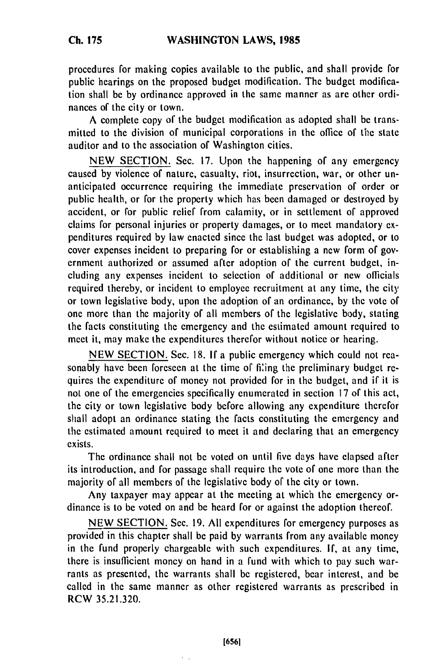procedures for making copies available to the public, and shall provide for public hearings on the proposed budget modification. The budget modification shall be by ordinance approved in the same manner as are other ordinances of the city or town.

A complete copy of the budget modification as adopted shall be transmitted to the division of municipal corporations in the office of the state auditor and to the association of Washington cities.

NEW SECTION. Sec. 17. Upon the happening of any emergency caused by violence of nature, casualty, riot, insurrection, war, or other unanticipated occurrence requiring the immediate preservation of order or public health, or for the property which has been damaged or destroyed by accident, or for public relief from calamity, or in settlement of approved claims for personal injuries or property damages, or to meet mandatory expenditures required by law enacted since the last budget was adopted, or to cover expenses incident to preparing for or establishing a new form of government authorized or assumed after adoption of the current budget, including any expenses incident to selection of additional or new officials required thereby, or incident to employee recruitment at any time, the city or town legislative body, upon the adoption of an ordinance, by the vote of one more than the majority of all members of the legislative body, stating the facts constituting the emergency and the estimated amount required to meet it, may make the expenditures therefor without notice or hearing.

NEW SECTION. Sec. 18. If a public emergency which could not reasonably have been forescen at the time of filing the preliminary budget requires the expenditure of money not provided for in the budget, and if it is not one of the emergencies specifically enumerated in section 17 of this act, the city or town legislative body before allowing any expenditure therefor shall adopt an ordinance stating the facts constituting the emergency and the estimated amount required to meet it and declaring that an emergency exists.

The ordinance shall not be voted on until five days have elapsed after its introduction, and for passage shall require the vote of one more than the majority of all members of the legislative body of the city or town.

Any taxpayer may appear at the meeting at which the emergency ordinance is to be voted on and be heard for or against the adoption thereof.

NEW SECTION. Sec. 19. All expenditures for emergency purposes as provided in this chapter shall be paid by warrants from any available money in the fund properly chargeable with such expenditures. If, at any time, there is insufficient money on hand in a fund with which to pay such warrants as presented, the warrants shall be registered, bear interest, and be called in the same manner as other registered warrants as prescribed in RCW 35.21.320.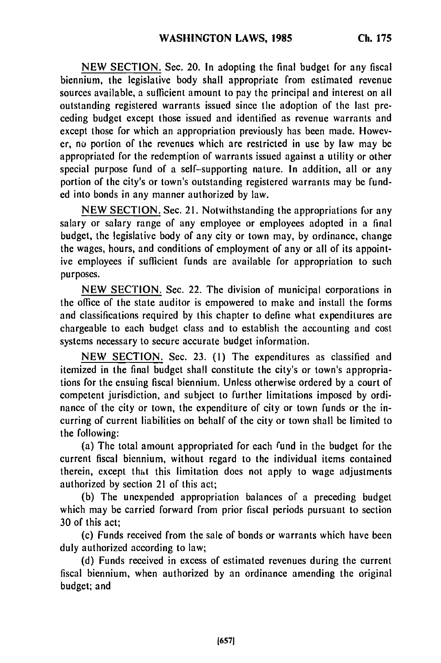NEW SECTION. Sec. 20. In adopting the final budget for any fiscal biennium, the legislative body shall appropriate from estimated revenue sources available, a sufficient amount to pay the principal and interest on all outstanding registered warrants issued since the adoption of the last preceding budget except those issued and identified as revenue warrants and except those for which an appropriation previously has been made. However, no portion of the revenues which are restricted in use by law may be appropriated for the redemption of warrants issued against a utility or other special purpose fund of a self-supporting nature. In addition, all or any portion of the city's or town's outstanding registered warrants may be funded into bonds in any manner authorized by law.

NEW SECTION. Sec. 21. Notwithstanding the appropriations for any salary or salary range of any employee or employees adopted in a final budget, the legislative body of any city or town may, by ordinance, change the wages, hours, and conditions of employment of any or all of its appointive employees if sufficient funds are available for appropriation to such purposes.

NEW SECTION. Sec. 22. The division of municipal corporations in the office of the state auditor is empowered to make and install the forms and classifications required by this chapter to define what expenditures are chargeable to each budget class and to establish the accounting and cost systems necessary to secure accurate budget information.

NEW SECTION. Sec. 23. (1) The expenditures as classified and itemized in the final budget shall constitute the city's or town's appropriations for the ensuing fiscal biennium. Unless otherwise ordered by a court of competent jurisdiction, and subject to further limitations imposed by ordinance of the city or town, the expenditure of city or town funds or the incurring of current liabilities on behalf of the city or town shall be limited to the following:

(a) The total amount appropriated for each rund in the budget for the current fiscal biennium, without regard to the individual items contained therein, except that this limitation does not apply to wage adjustments authorized by section 21 of this act;

(b) The unexpended appropriation balances of a preceding budget which may be carried forward from prior fiscal periods pursuant to section 30 of this act;

(c) Funds received from the sale of bonds or warrants which have been duly authorized according to law;

(d) Funds received in excess of estimated revenues during the current fiscal biennium, when authorized by an ordinance amending the original budget; and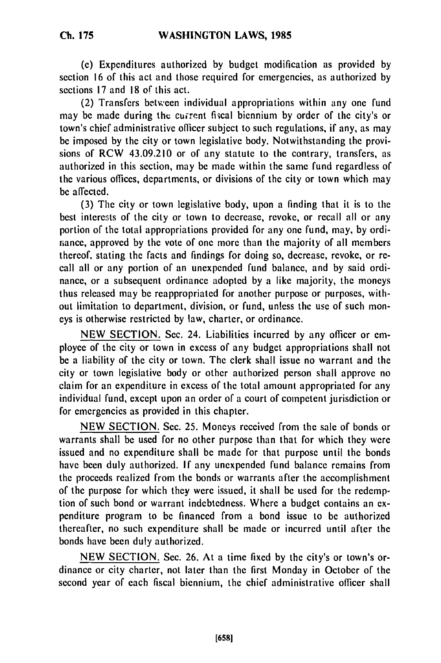(e) Expenditures authorized by budget modification as provided by section 16 of this act and those required for emergencies, as authorized by sections 17 and 18 of this act.

(2) Transfers between individual appropriations within any one fund may be made during the current fiscal biennium by order of the city's or town's chief administrative officer subject to such regulations, if any, as may be imposed by the city or town legislative body. Notwithstanding the provisions of RCW 43.09.210 or of any statute to the contrary, transfers, as authorized in this section, may be made within the same fund regardless of the various offices, departments, or divisions of the city or town which may be affected.

(3) The city or town legislative body, upon a finding that it is to the best interests of the city or town to decrease, revoke, or recall all or any portion of the total appropriations provided for any one fund, may, by ordirance, approved by the vote of one more than the majority of all members thereof, stating the facts and findings for doing so, decrease, revoke, or recall all or any portion of an unexpended fund balance, and by said ordinance, or a subsequent ordinance adopted by a like majority, the moneys thus released may be reappropriated for another purpose or purposes, without limitation to department, division, or fund, unless the use of such moneys is otherwise restricted by law, charter, or ordinance.

NEW SECTION. Sec. 24. Liabilities incurred by any officer or employee of the city or town in excess of any budget appropriations shall not be a liability of the city or town. The clerk shall issue no warrant and the city or town legislative body or other authorized person shall approve no claim for an expenditure in excess of the total amount appropriated for any individual fund, except upon an order of a court of competent jurisdiction or for emergencies as provided in this chapter.

NEW SECTION. Sec. 25. Moneys received from the sale of bonds or warrants shall be used for no other purpose than that for which they were issued and no expenditure shall be made for that purpose until the bonds have been duly authorized. If any unexpended fund balance remains from the proceeds realized from the bonds or warrants after the accomplishment of the purpose for which they were issued, it shall be used for the redemption of such bond or warrant indebtedness. Where a budget contains an expenditure program to be financed from a bond issue to be authorized thereafter, no such expenditure shall be made or incurred until after the bonds have been duly authorized.

NEW SECTION. Sec. 26. At a time fixed by the city's or town's ordinance or city charter, not later than the first Monday in October of the second year of each fiscal biennium, the chief administrative officer shall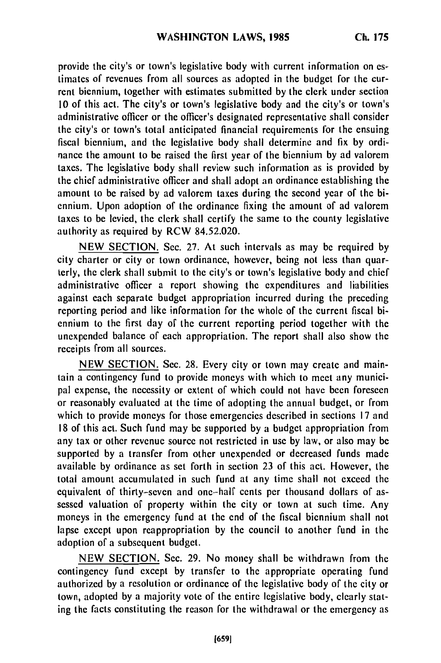provide the city's or town's legislative body with current information on **es**timates of revenues from all sources as adopted in the budget for the current biennium, together with estimates submitted **by** the clerk under section **10** of this act. The city's or town's legislative body and the city's or town's administrative officer or the officer's designated representative shall consider the city's or town's total anticipated financial requirements for the ensuing fiscal biennium, and the legislative body shall determine and fix **by** ordinance the amount to **be** raised the first year of the biennium **by** ad valorem taxes. The legislative body shall review such information as is provided **by** the chief administrative officer and shall adopt an ordinance establishing the amount to **be** raised **by** ad valorem taxes during the second year of the biennium. Upon adoption of the ordinance fixing the amount of ad valorem taxes to be levied, the clerk shall certify the same to the county legislative authority as required **by** RCW 84.52.020.

**NEW SECTION.** Sec. **27.** At such intervals as may be required **by** city charter or city or town ordinance, however, being not less than quarterly, the clerk shall submit to the city's or town's legislative body and chief administrative officer a report showing the expenditures and liabilities against each separate budget appropriation incurred during the preceding reporting period and like information for the whole of the current fiscal biennium to the first day of the current reporting period together with the unexpended balance of each appropriation. The report shall also show the receipts from all sources.

**NEW SECTION. See. 28.** Every city or town may create and maintain a contingency fund to provide moneys with which to meet any municipal expense, the necessity or extent of which could not have been foreseen or reasonably evaluated at the time of adopting the annual budget, or from which to provide moneys for those emergencies described in sections **17** and **<sup>18</sup>**of this act. Such fund may be supported **by** a budget appropriation from any tax or other revenue source not restricted in use **by** law, or also may be supported **by** a transfer from other unexpended or decreased funds made available **by** ordinance as set forth in section **23** of this act. However, the total amount accumulated in such fund at any time shall not exceed the equivalent of thirty-seven and one-half cents per thousand dollars of assessed valuation of property within the city or town at such time. Any moneys in the emergency fund at the end of the fiscal biennium shall not lapse except upon reappropriation **by** the council to another fund in the adoption of a subsequent budget.

**NEW SECTION.** Sec. **29.** No money shall **be** withdrawn from the contingency fund except **by** transfer to the appropriate operating fund authorized **by** a resolution or ordinance of the legislative body of the city or town, adopted **by** a majority vote of the entire legislative body, clearly stating the facts constituting the reason for the withdrawal or the emergency as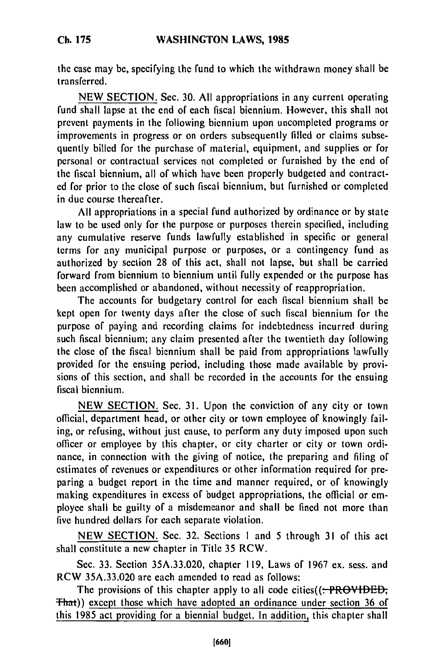the case may be, specifying the fund to which the withdrawn money shall be transferred.

NEW SECTION. Sec. 30. All appropriations in any current operating fund shall lapse at the end of each fiscal biennium. However, this shall not prevent payments in the following biennium upon uncompleted programs or improvements in progress or on orders subsequently filled or claims subsequently billed for the purchase of material, equipment, and supplies or for personal or contractual services not completed or furnished by the end of the fiscal biennium, all of which have been properly budgeted and contracted for prior to the close of such fiscal biennium, but furnished or completed in due course thereafter.

All appropriations in a special fund authorized by ordinance or by state law to be used only for the purpose or purposes therein specified, including any cumulative reserve funds lawfully established in specific or general terms for any municipal purpose or purposes, or a contingency fund as authorized by section 28 of this act, shall not lapse, but shall be carried forward from biennium to biennium until fully expended or the purpose has been accomplished or abandoned, without necessity of reappropriation.

The accounts for budgetary control for each fiscal biennium shall be kept open for twenty days after the close of such fiscal biennium for the purpose of paying and recording claims for indebtedness incurred during such fiscal biennium; any claim presented after the twentieth day following the close of the fiscal biennium shall be paid from appropriations lawfully provided for the ensuing period, including those made available by provisions of this section, and shall be recorded in the accounts for the ensuing fiscal biennium.

NEW SECTION. Sec. 31. Upon the conviction of any city or town official, department head, or other city or town employee of knowingly failing, or refusing, without just cause, to perform any duty imposed upon such officer or employee by this chapter, or city charter or city or town ordinance, in connection with the giving of notice, the preparing and filing of estimates of revenues or expenditures or other information required for preparing a budget report in the time and manner required, or of knowingly making expenditures in excess of budget appropriations, the official or employee shall be guilty of a misdemeanor and shall be fined not more than five hundred dollars for each separate violation.

NEW SECTION. Sec. 32. Sections **I** and 5 through 31 of this act shall constitute a new chapter in Title 35 RCW.

Sec. 33. Section 35A.33.020, chapter 119, Laws of 1967 ex. sess. and RCW 35A.33.020 are each amended to read as follows:

The provisions of this chapter apply to all code cities( $(-PROVIDED$ ; That)) except those which have adopted an ordinance under section 36 of this 1985 act providing for a biennial budget. In addition, this chapter shall

**Ch. 175**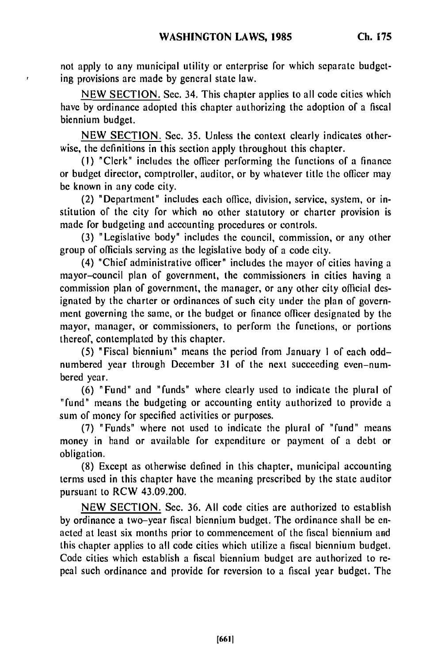not apply to any municipal utility or enterprise for which separate budgeting provisions are made by general state law.

NEW SECTION. Sec. 34. This chapter applies to all code cities which have by ordinance adopted this chapter authorizing the adoption of a fiscal biennium budget.

NEW SECTION. Sec. 35. Unless the context clearly indicates otherwise, the definitions in this section apply throughout this chapter.

**(1)** "Clerk" includes the officer performing the functions of a finance or budget director, comptroller, auditor, or by whatever title the officer may be known in any code city.

(2) "Department" includes each office, division, service, system, or institution of the city for which no other statutory or charter provision is made for budgeting and accounting procedures or controls.

(3) "Legislative body" includes the council, commission, or any other group of officials serving as the legislative body of a code city.

(4) "Chief administrative officer" includes the mayor of cities having a mayor-council plan of government, the commissioners in cities having a commission plan of government, the manager, or any other city official designated by the charter or ordinances of such city under the plan of government governing the same, or the budget or finance officer designated by the mayor, manager, or commissioners, to perform the functions, or portions thereof, contemplated by this chapter.

(5) "Fiscal biennium" means the period from January **I** of each oddnumbered year through December 31 of the next succeeding even-numbered year.

(6) "Fund" and "funds" where clearly used to indicate the plural of "fund" means the budgeting or accounting entity authorized to provide a sum of money for specified activities or purposes.

(7) "Funds" where not used to indicate the plural of "fund" means money in hand or available for expenditure or payment of a debt or obligation.

(8) Except as otherwise defined in this chapter, municipal accounting terms used in this chapter have the meaning prescribed by the state auditor pursuant to RCW 43.09.200.

NEW SECTION. Sec. 36. All code cities are authorized to establish by ordinance a two-year fiscal biennium budget. The ordinance shall be enacted at least six months prior to commencement of the fiscal biennium and this chapter applies to all code cities which utilize a fiscal biennium budget. Code cities which establish a fiscal biennium budget are authorized to repeal such ordinance and provide for reversion to a fiscal year budget. The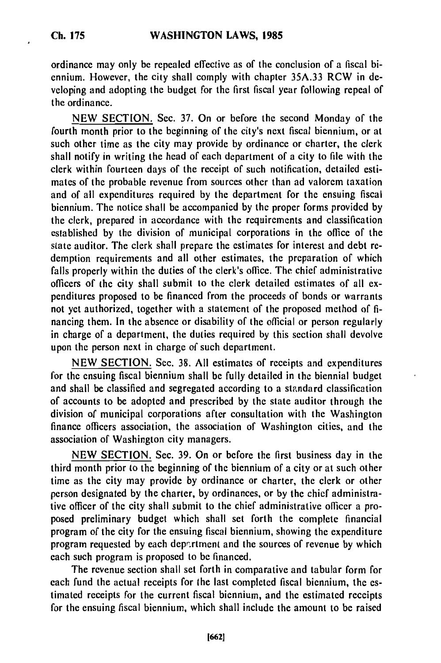ordinance may only be repealed effective as of the conclusion of a fiscal biennium. However, the city shall comply with chapter 35A.33 RCW in developing and adopting the budget for the first fiscal year following repeal of the ordinance.

NEW SECTION. Sec. 37. On or before the second Monday of the fourth month prior to the beginning of the city's next fiscal biennium, or at such other time as the city may provide by ordinance or charter, the clerk shall notify in writing the head of each department of a city to file with the clerk within fourteen days of the receipt of such notification, detailed estimates of the probable revenue from sources other than ad valorem taxation and of all expenditures required by the department for the ensuing fiscal biennium. The notice shall be accompanied by the proper forms provided by the clerk, prepared in accordance with the requirements and classification established by the division of municipal corporations in the office of the state auditor. The clerk shall prepare the estimates for interest and debt redemption requirements and all other estimates, the preparation of which falls properly within the duties of the clerk's office. The chief administrative officers of the city shall submit to the clerk detailed estimates of all expenditures proposed to be financed from the proceeds of bonds or warrants not yet authorized, together with a statement of the proposed method of financing them. In the absence or disability of the official or person regularly in charge of a department, the duties required by this section shall devolve upon the person next in charge of such department.

NEW SECTION. Sec. 38. All estimates of receipts and expenditures for the ensuing fiscal biennium shall be fully detailed in the biennial budget and shall be classified and segregated according to a standard classification of accounts to be adopted and prescribed by the state auditor through the division of municipal corporations after consultation with the Washington finance officers association, the association of Washington cities, and the association of Washington city managers.

NEW SECTION. Sec. 39. On or before the first business day in the third month prior to the beginning of the biennium of a city or at such other time as the city may provide by ordinance or charter, the clerk or other person designated by the charter, by ordinances, or by the chief administrative officer of the city shall submit to the chief administrative officer a proposed preliminary budget which shall set forth the complete financial program of the city for the ensuing fiscal biennium, showing the expenditure program requested by each depr.rtment and the sources of revenue by which each such program is proposed to be financed.

The revenue section shall set forth in comparative and tabular form for each fund the actual receipts for the last completed fiscal biennium, the estimated receipts for the current fiscal biennium, and the estimated receipts for the ensuing fiscal biennium, which shall include the amount to be raised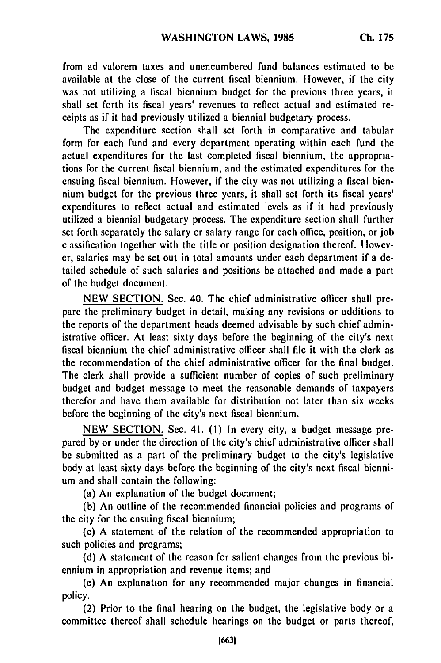from ad valorem taxes and unencumbered fund balances estimated to be available at the close of the current fiscal biennium. However, if the city was not utilizing a fiscal biennium budget for the previous three years, it shall set forth its fiscal years' revenues to reflect actual and estimated receipts as if it had previously utilized a biennial budgetary process.

The expenditure section shall set forth in comparative and tabular form for each fund and every department operating within each fund the actual expenditures for the last completed fiscal biennium, the appropriations for the current fiscal biennium, and the estimated expenditures for the ensuing fiscal biennium. However, if the city was not utilizing a fiscal biennium budget for the previous three years, it shall set forth its fiscal years' expenditures to reflect actual and estimated levels as if it had previously utilized a biennial budgetary process. The expenditure section shall further set forth separately the salary or salary range for each office, position, or job classification together with the title or position designation thereof. However, salaries may be set out in total amounts under each department if a detailed schedule of such salaries and positions be attached and made a part of the budget document.

NEW SECTION. Sec. 40. The chief administrative officer shall prepare the preliminary budget in detail, making any revisions or additions to the reports of the department heads deemed advisable by such chief administrative officer. At least sixty days before the beginning of the city's next fiscal biennium the chief administrative officer shall file it with the clerk as the recommendation of the chief administrative officer for the final budget. The clerk shall provide a sufficient number of copies of such preliminary budget and budget message to meet the reasonable demands of taxpayers therefor and have them available for distribution not later than six weeks before the beginning of the city's next fiscal biennium.

NEW SECTION. Sec. 41. (1) In every city, a budget message prepared by or under the direction of the city's chief administrative officer shall be submitted as a part of the preliminary budget to the city's legislative body at least sixty days before the beginning of the city's next fiscal biennium and shall contain the following:

(a) An explanation of the budget document;

(b) An outline of the recommended financial policies and programs of the city for the ensuing fiscal biennium;

(c) A statement of the relation of the recommended appropriation to such policies and programs;

(d) A statement of the reason for salient changes from the previous biennium in appropriation and revenue items; and

(e) An explanation for any recommended major changes in financial policy.

(2) Prior to the final hearing on the budget, the legislative body or a committee thereof shall schedule hearings on the budget or parts thereof,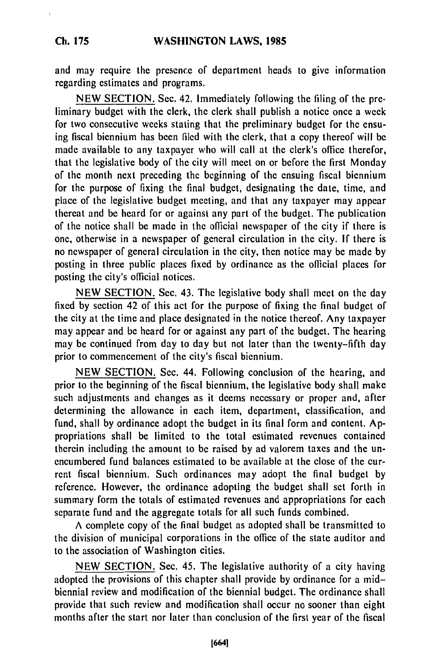and may require the presence of department heads to give information regarding estimates and programs.

NEW SECTION. Sec. 42. Immediately following the filing of the preliminary budget with the clerk, the clerk shall publish a notice once a week for two consecutive weeks stating that the preliminary budget for the ensuing fiscal biennium has been filed with the clerk, that a copy thereof will be made available to any taxpayer who will call at the clerk's office therefor, that the legislative body of the city will meet on or before the first Monday of the month next preceding the beginning of the ensuing fiscal biennium for the purpose of fixing the final budget, designating the date, time, and place of the legislative budget meeting, and that any taxpayer may appear thereat and be heard for or against any part of the budget. The publication of the notice shall be made in the official newspaper of the city if there is one, otherwise in a newspaper of general circulation in the city. If there is no newspaper of general circulation in the city, then notice may be made **by** posting in three public places fixed by ordinance as the official places for posting the city's official notices.

NEW SECTION. Sec. 43. The legislative body shall meet on the day fixed by section 42 of this act for the purpose of fixing the final budget of the city at the time and place designated in the notice thereof. Any taxpayer may appear and be heard for or against any part of the budget. The hearing may be continued from day to day but not later than the twenty-fifth day prior to commencement of the city's fiscal biennium.

NEW SECTION. Sec. 44. Following conclusion of the hearing, and prior to the beginning of the fiscal biennium, the legislative body shall make such adjustments and changes as it deems necessary or proper and, after determining the allowance in each item, department, classification, and fund, shall by ordinance adopt the budget in its final form and content. Appropriations shall be limited to the total estimated revenues contained therein including the amount to be raised by ad valorem taxes and the unencumbered fund balances estimated to be available at the close of the current fiscal biennium. Such ordinances may adopt the final budget by reference. However, the ordinance adopting the budget shall set forth in summary form the totals of estimated revenues and appropriations for each separate fund and the aggregate totals for all such funds combined.

A complete copy of the final budget as adopted shall be transmitted to the division of municipal corporations in the office of the state auditor and to the association of Washington cities.

NEW SECTION. Sec. 45. The legislative authority of a city having adopted the provisions of this chapter shall provide by ordinance for a midbiennial review and modification of the biennial budget. The ordinance shall provide that such review and modification shall occur no sooner than eight months after the start nor later than conclusion of the first year of the fiscal

**Ch. 175**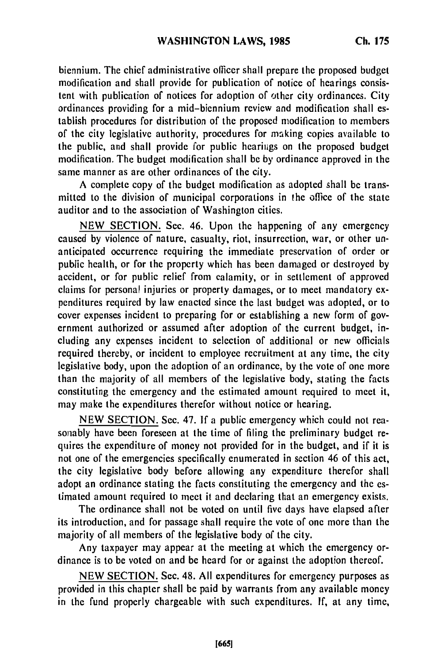biennium. The chief administrative officer shall prepare the proposed budget modification and shall provide for publication of notice of hearings consistent with publication of notices for adoption of other city ordinances. City ordinances providing for a mid-biennium review and modification shall establish procedures for distribution of the proposed modification to members of the city legislative authority, procedures for making copies available to the public, and shall provide for public hearings on the proposed budget modification. The budget modification shall be **by** ordinance approved in the same manner as are other ordinances of the city.

**A** complete copy of the budget modification as adopted shall be transmitted to the division of municipal corporations in the office of the state auditor and to the association of Washington cities.

**NEW SECTION.** Sec. 46. Upon the happening of any emergency caused **by** violence of nature, casualty, riot, insurrection, war, or other unanticipated occurrence requiring the immediate preservation of order or public health, or for the property which has been damaged or destroyed **by** accident, or for public relief from calamity, or in settlement of approved claims for personal injuries or property damages, or to meet mandatory expenditures required **by** law enacted since the last budget was adopted, or to cover expenses incident to preparing for or establishing a new form of government authorized or assumed after adoption of the current budget, including any expenses incident to selection of additional or new officials required thereby, or incident to employee recruitment at any time, the city legislative body, upon the adoption of an ordinance, **by** the vote of one more than the majority of all members of the legislative body, stating the facts constituting the emergency and the estimated amount required to meet it, may make the expenditures therefor without notice or hearing.

**NEW SECTION.** Sec. 47. **If** a public emergency which could not reasonably have been foreseen at the time of filing the preliminary budget requires the expenditure of money not provided for in the budget, and if it is not one of the emergencies specifically enumerated in section 46 of this act, the city legislative body before allowing any expenditure therefor shall adopt an ordinance stating the facts constituting the emergency and the estimated amount required to meet it and declaring that an emergency exists.

The ordinance shall not be voted on until five days have elapsed after its introduction, and for passage shall require the vote of one more than the majority of all members of the legislative body of the city.

Any taxpayer may appear at the meeting at which the emergency ordinance is to be voted on and be heard for or against the adoption thereof.

**NEW SECTION.** Sec. 48. **All** expenditures for emergency purposes as provided in this chapter shall be paid **by** warrants from any available money in the fund properly chargeable with such expenditures. **If,** at any time,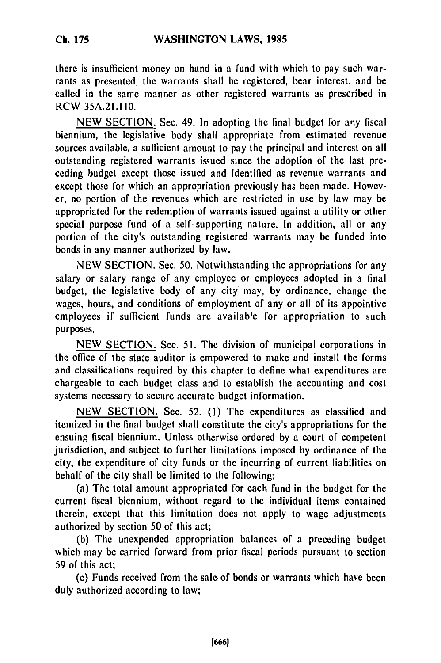## **Ch. 175**

there is insufficient money on hand in a fund with which to pay such warrants as presented, the warrants shall be registered, bear interest, and be called in the same manner as other registered warrants as prescribed in RCW 35A.21.110.

NEW SECTION. Sec. 49. In adopting the final budget for any fiscal biennium, the legislative body shall appropriate from estimated revenue sources available, a sufficient amount to pay the principal and interest on all outstanding registered warrants issued since the adoption of the last preceding budget except those issued and identified as revenue warrants and except those for which an appropriation previously has been made. However, no portion of the revenues which are restricted in use by law may be appropriated for the redemption of warrants issued against a utility or other special purpose fund of a self-supporting nature. In addition, all or any portion of the city's outstanding registered warrants may be funded into bonds in any manner authorized by law.

NEW SECTION. Sec. 50. Notwithstanding the appropriations for any salary or salary range of any employee or employees adopted in a final budget, the legislative body of any city' may, by ordinance, change the wages, hours, and conditions of employment of any or all of its appointive employees if sufficient funds are available for appropriation to such purposes.

NEW SECTION. Sec. 51. The division of municipal corporations in the office of the state auditor is empowered to make and install the forms and classifications required by this chapter to define what expenditures are chargeable to each budget class and to establish the accounting and cost systems necessary to secure accurate budget information.

NEW SECTION. Sec. 52. (1) The expenditures as classified and itemized in the final budget shall constitute the city's appropriations for the ensuing fiscal biennium. Unless otherwise ordered by a court of competent jurisdiction, and subject to further limitations imposed by ordinance of the city, the expenditure of city funds or the incurring of current liabilities on behalf of the city shall be limited to the following:

(a) The total amount appropriated for each fund in the budget for the current fiscal biennium, without regard to the individual items contained therein, except that this limitation does not apply to wage adjustments authorized by section 50 of this act;

(b) The unexpended appropriation balances of a preceding budget which may be carried forward from prior fiscal periods pursuant to section 59 of this act;

(c) Funds received from the sale. of bonds or warrants which have been duly authorized according to law;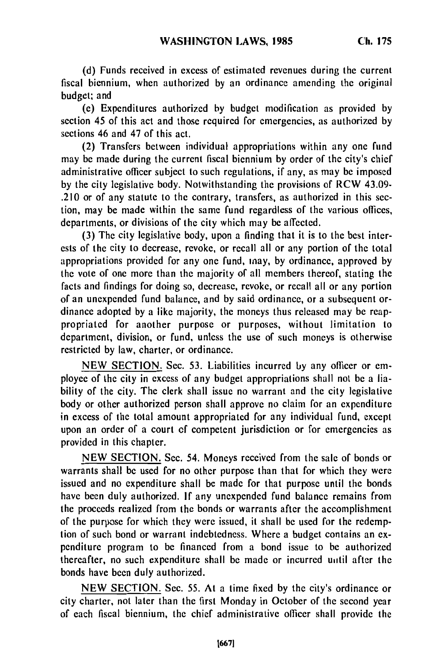**(d)** Funds received in excess of estimated revenues during the current fiscal biennium, when authorized by an ordinance amending the original budget; and

(e) Expenditures authorized by budget modification as provided by section 45 of this act and those required for emergencies, as authorized by sections 46 and 47 of this act.

(2) Transfers between individual appropriations within any one fund may be made during the current fiscal biennium by order of the city's chief administrative officer subject to such regulations, if any, as may be imposed by the city legislative body. Notwithstanding the provisions of RCW 43.09- .210 or of any statute to the contrary, transfers, as authorized in this section, may be made within the same fund regardless of the various offices, departments, or divisions of the city which may be affected.

(3) The city legislative body, upon a finding that it is to the best interests of the city to decrease, revoke, or recall all or any portion of the total appropriations provided for any one fund, may, by ordinance, approved by the vote of one more than the majority of all members thereof, stating the facts and findings for doing so, decrease, revoke, or recall all or any portion of an unexpended fund balance, and by said ordinance, or a subsequent ordinance adopted by a like majority, the moneys thus released may be reappropriated for another purpose or purposes, without limitation to department, division, or fund, unless the use of such moneys is otherwise restricted by law, charter, or ordinance.

NEW SECTION. Sec. 53. Liabilities incurred by any officer or employee of the city in excess of any budget appropriations shall not be a liability of the city. The clerk shall issue no warrant and the city legislative body or other authorized person shall approve no claim for an expenditure in excess of the total amount appropriated for any individual fund, except upon an order of a court **of** competent jurisdiction or for emergencies as provided in this chapter.

NEW SECTION. Sec. 54. Moneys received from the sale of bonds or warrants shall be used for no other purpose than that for which they were issued and no expenditure shall be made for that purpose until the bonds have been duly authorized. **If** any unexpended fund balance remains from the proceeds realized from the bonds or warrants after the accomplishment of the purpose for which they were issued, it shall be used for the redemption of such bond or warrant indebtedness. Where a budget contains an expenditure program to be financed from a bond issue to be authorized thereafter, no such expenditure shall be made or incurred uitil after the bonds have been duly authorized.

NEW SECTION. Sec. 55. At a time fixed by the city's ordinance or city charter, not later than the first Monday in October of the second year of each fiscal biennium, the chief administrative officer shall provide the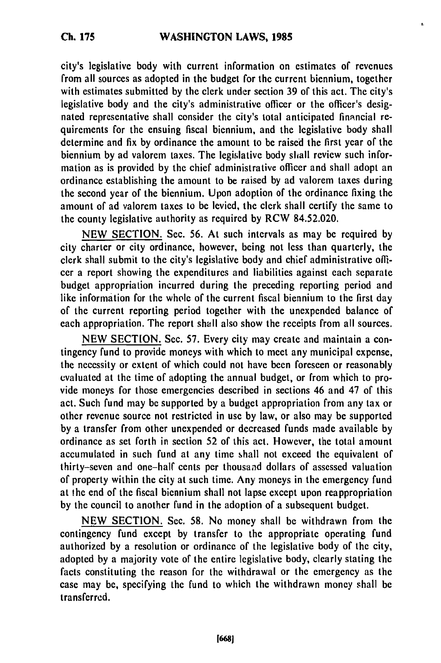t.

city's legislative body with current information on estimates of revenues from all sources as adopted in the budget for the current biennium, together with estimates submitted **by** the clerk under section **39** of this act. The city's legislative body and the city's administrative officer or the officer's designated representative shall consider the city's total anticipated financial requirements for the ensuing fiscal biennium, and the legislative body shall determine and fix **by** ordinance the amount to be raised the first year of the biennium **by** ad valorem taxes. The legislative body shall review such information as is provided **by** the chief administrative officer and shall adopt an ordinance establishing the amount to be raised **by** ad valorem taxes during the second year of the biennium. Upon adoption of the ordinance fixing the amount of ad valorem taxes to be levied, the clerk shall certify the same to the county legislative authority as required **by** RCW 84.52.020.

**NEW SECTION.** Sec. **56.** At such intervals as may **be** required **by** city charter or city ordinance, however, being not less than quarterly, the clerk shall submit to the city's legislative body and chief administrative officer a report showing the expenditures and liabilities against each separate budget appropriation incurred during the preceding reporting period and like information for the whole of the current fiscal biennium to the first day of the current reporting period together with the unexpended balance of each appropriation. The report shall also show the receipts from all sources.

**NEW SECTION.** Sec. **57.** Every city may create and maintain a contingency fund to provide moneys with which to meet any municipal expense, the necessity or extent of which could not have been foreseen or reasonably evaluated at the time of adopting the annual budget, or from which to provide moneys for those emergencies described in sections 46 and 47 of this act. Such fund may **be** supported **by** a budget appropriation from any tax or other revenue source not restricted in use **by** law, or also may be supported **by** a transfer from other unexpended or decreased funds made available **by** ordinance as set forth in section **52** of this act. However, the total amount accumulated in such fund at any time shall not exceed the equivalent of thirty-seven and one-half cents per thousand dollars of assessed valuation of property within the city at such time. Any moneys in the emergency fund at the end of the fiscal biennium shall not lapse except upon reappropriation **by** the council to another fund in the adoption of a subsequent budget.

**NEW SECTION.** Sec. **58.** No money shall be withdrawn from the contingency fund except **by** transfer to the appropriate operating fund authorized **by** a resolution or ordinance of the legislative body of the city, adopted **by** a majority vote of the entire legislative body, clearly stating the facts constituting the reason for the withdrawal or **the** emergency as the case may be, specifying the fund to which the withdrawn money shall be transferred.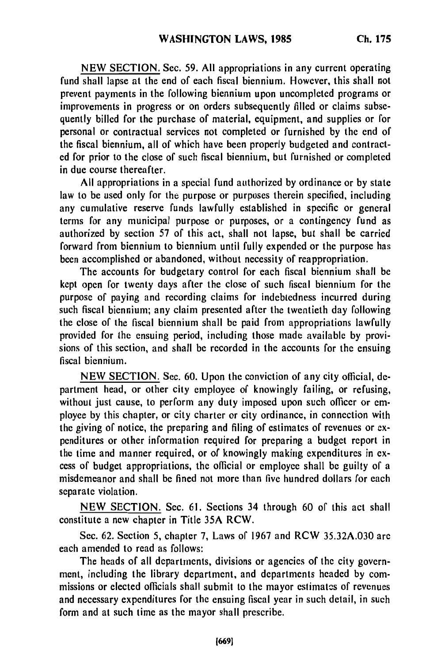**NEW** SECTION. Sec. 59. All appropriations in any current operating fund shall lapse at the end of each fiscal biennium. However, this shall not prevent payments in the following biennium upon uncompleted programs or improvements in progress or on orders subsequently filled or claims subsequently billed for the purchase of material, equipment, and supplies or for personal or contractual services not completed or furnished **by** the end of the fiscal biennium, all of which have been properly budgeted and contract**ed** for prior to the close of such fiscal biennium, but furnished or completed in due course thereafter.

**All** appropriations in a special fund authorized **by** ordinance or **by** state law to be used only for the purpose or purposes therein specified, including any cumulative reserve funds lawfully established in specific or general terms for any municipal purpose or purposes, or a contingency fund as authorized **by** section **57** of this act, shall not lapse, but shall be carried forward from biennium to biennium until fully expended or the purpose has been accomplished or abandoned, without necessity of reappropriation.

The accounts for budgetary control for each fiscal biennium shall be kept open for twenty days after the close of such fiscal biennium for the purpose of paying and recording claims for indebtedness incurred during such fiscal biennium; any claim presented after the twentieth day following the close of the fiscal biennium shall be paid from appropriations lawfully provided for the ensuing period, including those made available by provisions of this section, and shall be recorded in the accounts for the ensuing fiscal biennium.

NEW SECTION. Sec. 60. Upon the conviction of any city official, department head, or other city employee of knowingly failing, or refusing, without just cause, to perform any duty imposed upon such officer or employee by this chapter, or city charter or city ordinance, in connection with the giving of notice, the preparing and filing of estimates of revenues or expenditures or other information required for preparing a budget report in the time and manner required, or of knowingly making expenditures in excess of budget appropriations, the official or employee shall be guilty of a misdemeanor and shall be fined not more than five hundred dollars for each separate violation.

NEW SECTION. Sec. 61. Sections 34 through 60 of this act shall constitute a new chapter in Title 35A RCW.

Sec. 62. Section 5, chapter 7, Laws of 1967 and RCW 35.32A.030 are each amended to read as follows:

The heads of all departments, divisions or agencies of the city government, including the library department, and departments headed by commissions or elected officials shall submit to the mayor estimatcs of revenues and necessary expenditures for the ensuing fiscal year in such detail, in such form and at such time as the mayor shall prescribe.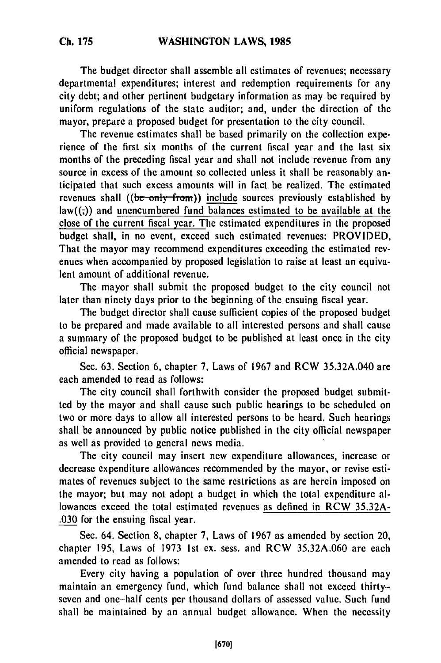The budget director shall assemble all estimates of revenues; necessary departmental expenditures; interest and redemption requirements for any city debt; and other pertinent budgetary information as may be required **by** uniform regulations of the state auditor; and, under the direction of the mayor, prepare a proposed budget for presentation to the city council.

The revenue estimates shall be based primarily on the collection experience of the first six months of the current fiscal year and the last six months of the preceding fiscal year and shall not include revenue from any source in excess of the amount so collected unless it shall be reasonably anticipated that such excess amounts will in fact be realized. The estimated revenues shall ((be only from)) include sources previously established by  $law((,))$  and unencumbered fund balances estimated to be available at the close of the current fiscal year. The estimated expenditures in the proposed budget shall, in no event, exceed such estimated revenues: PROVIDED, That the mayor may recommend expenditures exceeding the estimated revenues when accompanied by proposed legislation to raise at least an equivalent amount of additional revenue.

The mayor shall submit the proposed budget to the city council not later than ninety days prior to the beginning of the ensuing fiscal year.

The budget director shall cause sufficient copies of the proposed budget to be prepared and made available to all interested persons and shall cause a summary of the proposed budget to be published at least once in the city official newspaper.

Sec. 63. Section 6, chapter 7, Laws of 1967 and RCW 35.32A.040 are each amended to read as follows:

The city council shall forthwith consider the proposed budget submitted by the mayor and shall cause such public hearings to be scheduled on two or more days to allow all interested persons to be heard. Such hearings shall be announced by public notice published in the city official newspaper as well as provided to general news media.

The city council may insert new expenditure allowances, increase or decrease expenditure allowances recommended by the mayor, or revise estimates of revenues subject to the same restrictions as are herein imposed on the mayor; but may not adopt a budget in which the total expenditure allowances exceed the total estimated revenues as defined in RCW 35.32A- .030 for the ensuing fiscal year.

Sec. 64. Section 8, chapter 7, Laws of 1967 as amended by section 20, chapter 195, Laws of 1973 1st ex. sess. and RCW 35.32A.060 are each amended to read as follows:

Every city having a population of over three hundred thousand may maintain an emergency fund, which fund balance shall not exceed thirtyseven and one-half cents per thousand dollars of assessed value. Such fund shall be maintained by an annual budget allowance. When the necessity